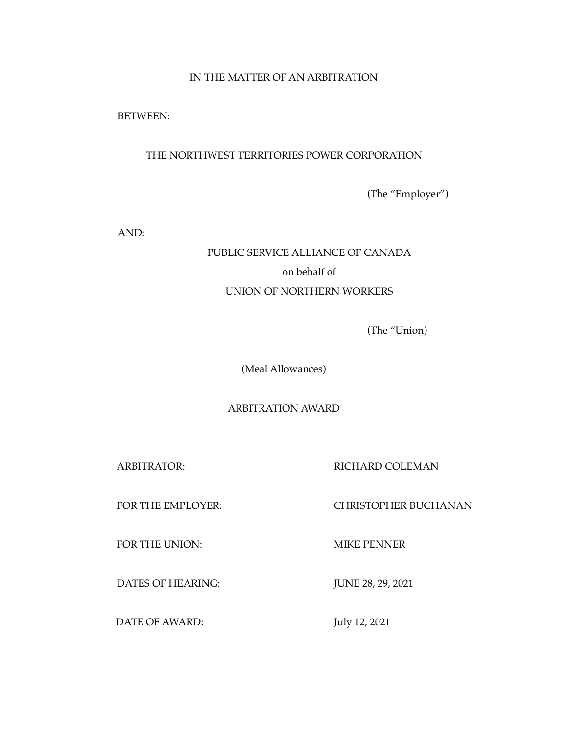## IN THE MATTER OF AN ARBITRATION

BETWEEN:

# THE NORTHWEST TERRITORIES POWER CORPORATION

(The "Employer")

AND:

# PUBLIC SERVICE ALLIANCE OF CANADA on behalf of UNION OF NORTHERN WORKERS

(The "Union)

(Meal Allowances)

## ARBITRATION AWARD

ARBITRATOR: RICHARD COLEMAN

## FOR THE EMPLOYER: CHRISTOPHER BUCHANAN

FOR THE UNION: MIKE PENNER

DATES OF HEARING: JUNE 28, 29, 2021

DATE OF AWARD: July 12, 2021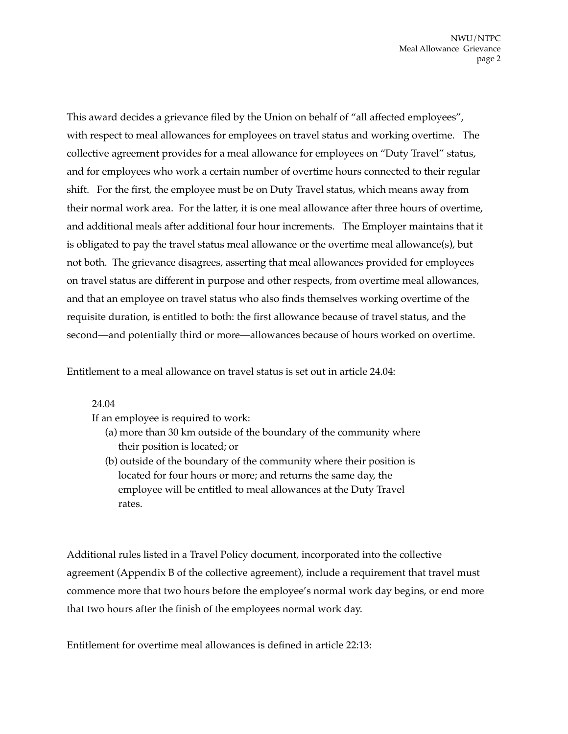This award decides a grievance filed by the Union on behalf of "all affected employees", with respect to meal allowances for employees on travel status and working overtime. The collective agreement provides for a meal allowance for employees on "Duty Travel" status, and for employees who work a certain number of overtime hours connected to their regular shift. For the first, the employee must be on Duty Travel status, which means away from their normal work area. For the latter, it is one meal allowance after three hours of overtime, and additional meals after additional four hour increments. The Employer maintains that it is obligated to pay the travel status meal allowance or the overtime meal allowance(s), but not both. The grievance disagrees, asserting that meal allowances provided for employees on travel status are different in purpose and other respects, from overtime meal allowances, and that an employee on travel status who also finds themselves working overtime of the requisite duration, is entitled to both: the first allowance because of travel status, and the second—and potentially third or more—allowances because of hours worked on overtime.

Entitlement to a meal allowance on travel status is set out in article 24.04:

24.04

If an employee is required to work:

- (a) more than 30 km outside of the boundary of the community where their position is located; or
- (b) outside of the boundary of the community where their position is located for four hours or more; and returns the same day, the employee will be entitled to meal allowances at the Duty Travel rates.

Additional rules listed in a Travel Policy document, incorporated into the collective agreement (Appendix B of the collective agreement), include a requirement that travel must commence more that two hours before the employee's normal work day begins, or end more that two hours after the finish of the employees normal work day.

Entitlement for overtime meal allowances is defined in article 22:13: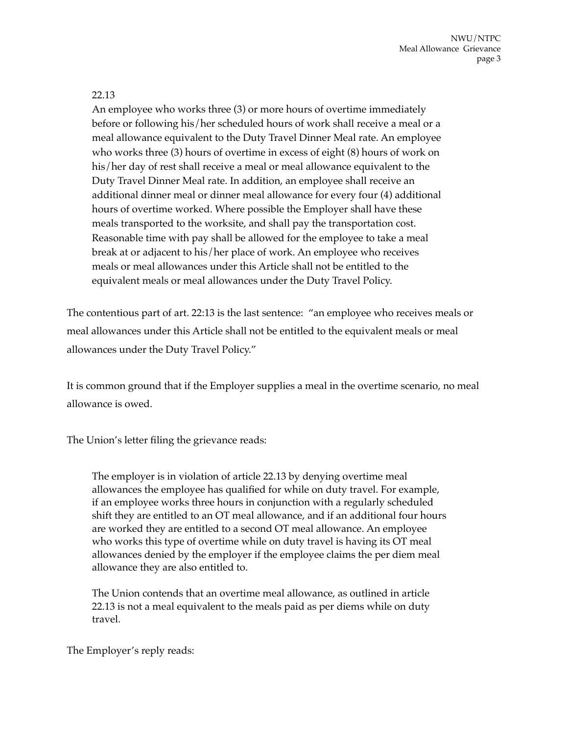## 22.13

An employee who works three (3) or more hours of overtime immediately before or following his/her scheduled hours of work shall receive a meal or a meal allowance equivalent to the Duty Travel Dinner Meal rate. An employee who works three (3) hours of overtime in excess of eight (8) hours of work on his/her day of rest shall receive a meal or meal allowance equivalent to the Duty Travel Dinner Meal rate. In addition, an employee shall receive an additional dinner meal or dinner meal allowance for every four (4) additional hours of overtime worked. Where possible the Employer shall have these meals transported to the worksite, and shall pay the transportation cost. Reasonable time with pay shall be allowed for the employee to take a meal break at or adjacent to his/her place of work. An employee who receives meals or meal allowances under this Article shall not be entitled to the equivalent meals or meal allowances under the Duty Travel Policy.

The contentious part of art. 22:13 is the last sentence: "an employee who receives meals or meal allowances under this Article shall not be entitled to the equivalent meals or meal allowances under the Duty Travel Policy."

It is common ground that if the Employer supplies a meal in the overtime scenario, no meal allowance is owed.

The Union's letter filing the grievance reads:

The employer is in violation of article 22.13 by denying overtime meal allowances the employee has qualified for while on duty travel. For example, if an employee works three hours in conjunction with a regularly scheduled shift they are entitled to an OT meal allowance, and if an additional four hours are worked they are entitled to a second OT meal allowance. An employee who works this type of overtime while on duty travel is having its OT meal allowances denied by the employer if the employee claims the per diem meal allowance they are also entitled to.

The Union contends that an overtime meal allowance, as outlined in article 22.13 is not a meal equivalent to the meals paid as per diems while on duty travel.

The Employer's reply reads: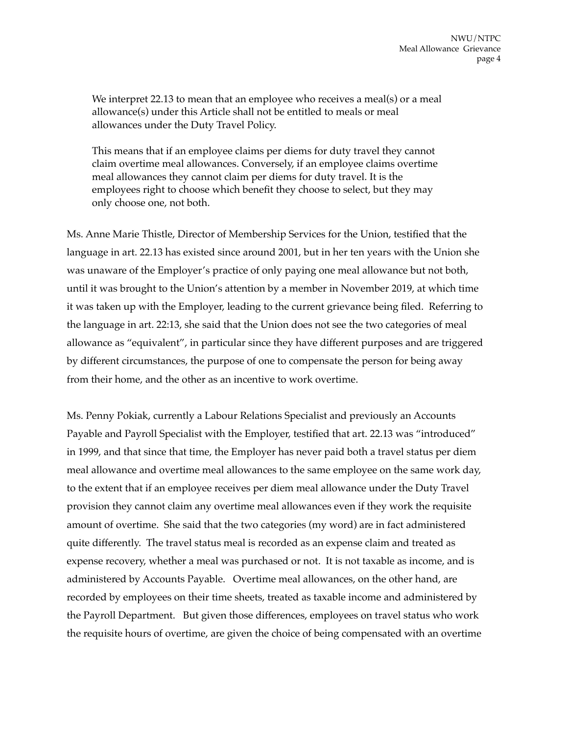We interpret 22.13 to mean that an employee who receives a meal(s) or a meal allowance(s) under this Article shall not be entitled to meals or meal allowances under the Duty Travel Policy.

This means that if an employee claims per diems for duty travel they cannot claim overtime meal allowances. Conversely, if an employee claims overtime meal allowances they cannot claim per diems for duty travel. It is the employees right to choose which benefit they choose to select, but they may only choose one, not both.

Ms. Anne Marie Thistle, Director of Membership Services for the Union, testified that the language in art. 22.13 has existed since around 2001, but in her ten years with the Union she was unaware of the Employer's practice of only paying one meal allowance but not both, until it was brought to the Union's attention by a member in November 2019, at which time it was taken up with the Employer, leading to the current grievance being filed. Referring to the language in art. 22:13, she said that the Union does not see the two categories of meal allowance as "equivalent", in particular since they have different purposes and are triggered by different circumstances, the purpose of one to compensate the person for being away from their home, and the other as an incentive to work overtime.

Ms. Penny Pokiak, currently a Labour Relations Specialist and previously an Accounts Payable and Payroll Specialist with the Employer, testified that art. 22.13 was "introduced" in 1999, and that since that time, the Employer has never paid both a travel status per diem meal allowance and overtime meal allowances to the same employee on the same work day, to the extent that if an employee receives per diem meal allowance under the Duty Travel provision they cannot claim any overtime meal allowances even if they work the requisite amount of overtime. She said that the two categories (my word) are in fact administered quite differently. The travel status meal is recorded as an expense claim and treated as expense recovery, whether a meal was purchased or not. It is not taxable as income, and is administered by Accounts Payable. Overtime meal allowances, on the other hand, are recorded by employees on their time sheets, treated as taxable income and administered by the Payroll Department. But given those differences, employees on travel status who work the requisite hours of overtime, are given the choice of being compensated with an overtime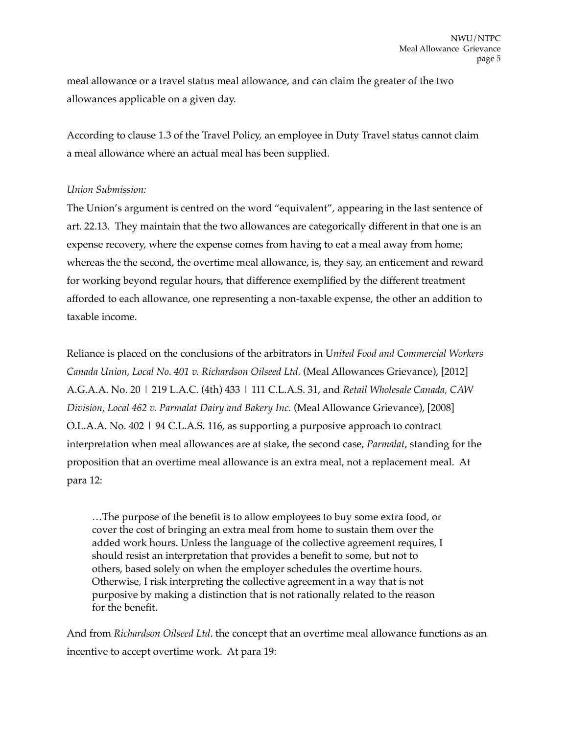meal allowance or a travel status meal allowance, and can claim the greater of the two allowances applicable on a given day.

According to clause 1.3 of the Travel Policy, an employee in Duty Travel status cannot claim a meal allowance where an actual meal has been supplied.

#### *Union Submission:*

The Union's argument is centred on the word "equivalent", appearing in the last sentence of art. 22.13. They maintain that the two allowances are categorically different in that one is an expense recovery, where the expense comes from having to eat a meal away from home; whereas the the second, the overtime meal allowance, is, they say, an enticement and reward for working beyond regular hours, that difference exemplified by the different treatment afforded to each allowance, one representing a non-taxable expense, the other an addition to taxable income.

Reliance is placed on the conclusions of the arbitrators in U*nited Food and Commercial Workers Canada Union, Local No. 401 v. Richardson Oilseed Ltd.* (Meal Allowances Grievance), [2012] A.G.A.A. No. 20 | 219 L.A.C. (4th) 433 | 111 C.L.A.S. 31, and *Retail Wholesale Canada, CAW Division, Local 462 v. Parmalat Dairy and Bakery Inc.* (Meal Allowance Grievance), [2008] O.L.A.A. No. 402 | 94 C.L.A.S. 116, as supporting a purposive approach to contract interpretation when meal allowances are at stake, the second case, *Parmalat*, standing for the proposition that an overtime meal allowance is an extra meal, not a replacement meal. At para 12:

…The purpose of the benefit is to allow employees to buy some extra food, or cover the cost of bringing an extra meal from home to sustain them over the added work hours. Unless the language of the collective agreement requires, I should resist an interpretation that provides a benefit to some, but not to others, based solely on when the employer schedules the overtime hours. Otherwise, I risk interpreting the collective agreement in a way that is not purposive by making a distinction that is not rationally related to the reason for the benefit.

And from *Richardson Oilseed Ltd*. the concept that an overtime meal allowance functions as an incentive to accept overtime work. At para 19: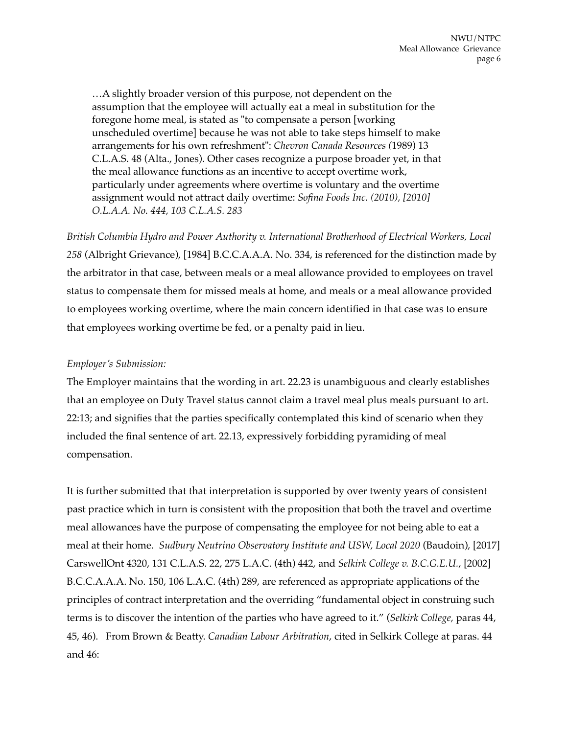…A slightly broader version of this purpose, not dependent on the assumption that the employee will actually eat a meal in substitution for the foregone home meal, is stated as "to compensate a person [working unscheduled overtime] because he was not able to take steps himself to make arrangements for his own refreshment": *Chevron Canada Resources (*1989) 13 C.L.A.S. 48 (Alta., Jones). Other cases recognize a purpose broader yet, in that the meal allowance functions as an incentive to accept overtime work, particularly under agreements where overtime is voluntary and the overtime assignment would not attract daily overtime: *Sofina Foods Inc. (2010), [2010] O.L.A.A. No. 444, 103 C.L.A.S. 283*

*British Columbia Hydro and Power Authority v. International Brotherhood of Electrical Workers, Local 258* (Albright Grievance), [1984] B.C.C.A.A.A. No. 334, is referenced for the distinction made by the arbitrator in that case, between meals or a meal allowance provided to employees on travel status to compensate them for missed meals at home, and meals or a meal allowance provided to employees working overtime, where the main concern identified in that case was to ensure that employees working overtime be fed, or a penalty paid in lieu.

#### *Employer's Submission:*

The Employer maintains that the wording in art. 22.23 is unambiguous and clearly establishes that an employee on Duty Travel status cannot claim a travel meal plus meals pursuant to art. 22:13; and signifies that the parties specifically contemplated this kind of scenario when they included the final sentence of art. 22.13, expressively forbidding pyramiding of meal compensation.

It is further submitted that that interpretation is supported by over twenty years of consistent past practice which in turn is consistent with the proposition that both the travel and overtime meal allowances have the purpose of compensating the employee for not being able to eat a meal at their home. *Sudbury Neutrino Observatory Institute and USW, Local 2020* (Baudoin), [2017] CarswellOnt 4320, 131 C.L.A.S. 22, 275 L.A.C. (4th) 442, and *Selkirk College v. B.C.G.E.U.*, [2002] B.C.C.A.A.A. No. 150, 106 L.A.C. (4th) 289, are referenced as appropriate applications of the principles of contract interpretation and the overriding "fundamental object in construing such terms is to discover the intention of the parties who have agreed to it." (*Selkirk College,* paras 44, 45, 46). From Brown & Beatty. *Canadian Labour Arbitration*, cited in Selkirk College at paras. 44 and 46: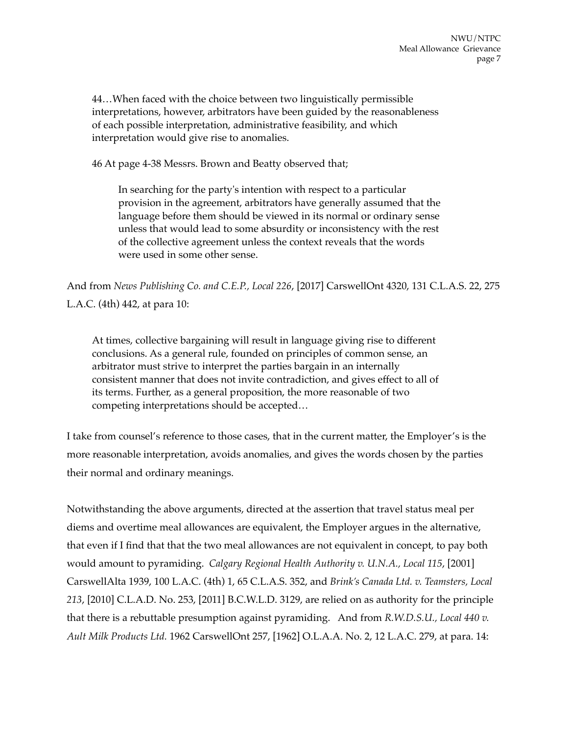44…When faced with the choice between two linguistically permissible interpretations, however, arbitrators have been guided by the reasonableness of each possible interpretation, administrative feasibility, and which interpretation would give rise to anomalies.

46 At page 4-38 Messrs. Brown and Beatty observed that;

In searching for the party's intention with respect to a particular provision in the agreement, arbitrators have generally assumed that the language before them should be viewed in its normal or ordinary sense unless that would lead to some absurdity or inconsistency with the rest of the collective agreement unless the context reveals that the words were used in some other sense.

And from *News Publishing Co. and C.E.P., Local 226*, [2017] CarswellOnt 4320, 131 C.L.A.S. 22, 275 L.A.C. (4th) 442, at para 10:

At times, collective bargaining will result in language giving rise to different conclusions. As a general rule, founded on principles of common sense, an arbitrator must strive to interpret the parties bargain in an internally consistent manner that does not invite contradiction, and gives effect to all of its terms. Further, as a general proposition, the more reasonable of two competing interpretations should be accepted…

I take from counsel's reference to those cases, that in the current matter, the Employer's is the more reasonable interpretation, avoids anomalies, and gives the words chosen by the parties their normal and ordinary meanings.

Notwithstanding the above arguments, directed at the assertion that travel status meal per diems and overtime meal allowances are equivalent, the Employer argues in the alternative, that even if I find that that the two meal allowances are not equivalent in concept, to pay both would amount to pyramiding. *Calgary Regional Health Authority v. U.N.A., Local 115*, [2001] CarswellAlta 1939, 100 L.A.C. (4th) 1, 65 C.L.A.S. 352, and *Brink's Canada Ltd. v. Teamsters, Local 213*, [2010] C.L.A.D. No. 253, [2011] B.C.W.L.D. 3129, are relied on as authority for the principle that there is a rebuttable presumption against pyramiding. And from *R.W.D.S.U., Local 440 v. Ault Milk Products Ltd.* 1962 CarswellOnt 257, [1962] O.L.A.A. No. 2, 12 L.A.C. 279, at para. 14: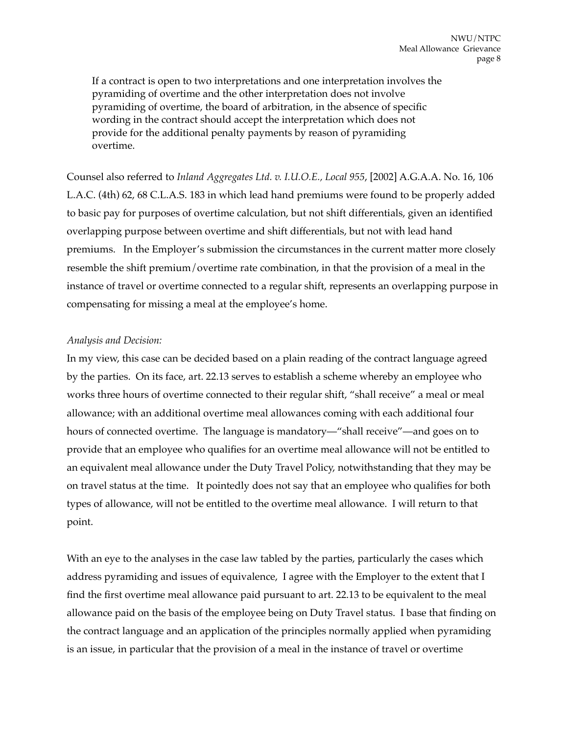If a contract is open to two interpretations and one interpretation involves the pyramiding of overtime and the other interpretation does not involve pyramiding of overtime, the board of arbitration, in the absence of specific wording in the contract should accept the interpretation which does not provide for the additional penalty payments by reason of pyramiding overtime.

Counsel also referred to *Inland Aggregates Ltd. v. I.U.O.E., Local 955*, [2002] A.G.A.A. No. 16, 106 L.A.C. (4th) 62, 68 C.L.A.S. 183 in which lead hand premiums were found to be properly added to basic pay for purposes of overtime calculation, but not shift differentials, given an identified overlapping purpose between overtime and shift differentials, but not with lead hand premiums. In the Employer's submission the circumstances in the current matter more closely resemble the shift premium/overtime rate combination, in that the provision of a meal in the instance of travel or overtime connected to a regular shift, represents an overlapping purpose in compensating for missing a meal at the employee's home.

#### *Analysis and Decision:*

In my view, this case can be decided based on a plain reading of the contract language agreed by the parties. On its face, art. 22.13 serves to establish a scheme whereby an employee who works three hours of overtime connected to their regular shift, "shall receive" a meal or meal allowance; with an additional overtime meal allowances coming with each additional four hours of connected overtime. The language is mandatory—"shall receive"—and goes on to provide that an employee who qualifies for an overtime meal allowance will not be entitled to an equivalent meal allowance under the Duty Travel Policy, notwithstanding that they may be on travel status at the time. It pointedly does not say that an employee who qualifies for both types of allowance, will not be entitled to the overtime meal allowance. I will return to that point.

With an eye to the analyses in the case law tabled by the parties, particularly the cases which address pyramiding and issues of equivalence, I agree with the Employer to the extent that I find the first overtime meal allowance paid pursuant to art. 22.13 to be equivalent to the meal allowance paid on the basis of the employee being on Duty Travel status. I base that finding on the contract language and an application of the principles normally applied when pyramiding is an issue, in particular that the provision of a meal in the instance of travel or overtime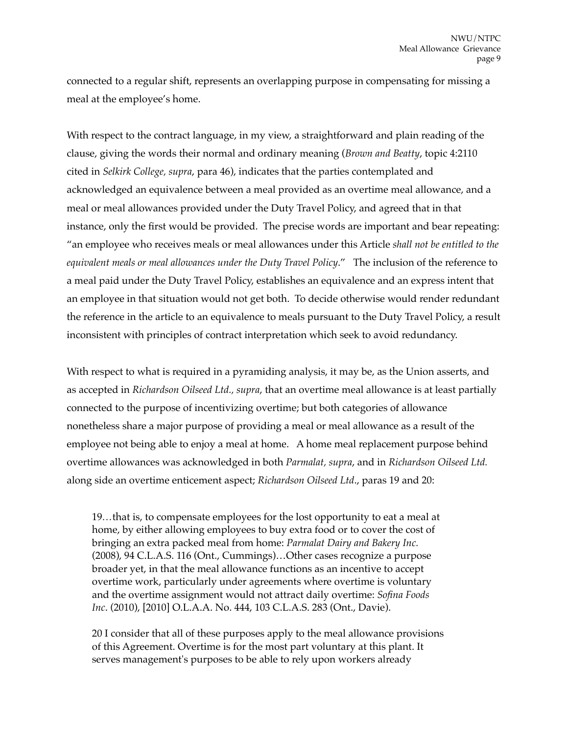connected to a regular shift, represents an overlapping purpose in compensating for missing a meal at the employee's home.

With respect to the contract language, in my view, a straightforward and plain reading of the clause, giving the words their normal and ordinary meaning (*Brown and Beatty*, topic 4:2110 cited in *Selkirk College, supra*, para 46), indicates that the parties contemplated and acknowledged an equivalence between a meal provided as an overtime meal allowance, and a meal or meal allowances provided under the Duty Travel Policy, and agreed that in that instance, only the first would be provided. The precise words are important and bear repeating: "an employee who receives meals or meal allowances under this Article *shall not be entitled to the equivalent meals or meal allowances under the Duty Travel Policy*." The inclusion of the reference to a meal paid under the Duty Travel Policy, establishes an equivalence and an express intent that an employee in that situation would not get both. To decide otherwise would render redundant the reference in the article to an equivalence to meals pursuant to the Duty Travel Policy, a result inconsistent with principles of contract interpretation which seek to avoid redundancy.

With respect to what is required in a pyramiding analysis, it may be, as the Union asserts, and as accepted in *Richardson Oilseed Ltd., supra*, that an overtime meal allowance is at least partially connected to the purpose of incentivizing overtime; but both categories of allowance nonetheless share a major purpose of providing a meal or meal allowance as a result of the employee not being able to enjoy a meal at home. A home meal replacement purpose behind overtime allowances was acknowledged in both *Parmalat, supra*, and in *Richardson Oilseed Ltd.*  along side an overtime enticement aspect; *Richardson Oilseed Ltd*., paras 19 and 20:

19*…*that is, to compensate employees for the lost opportunity to eat a meal at home, by either allowing employees to buy extra food or to cover the cost of bringing an extra packed meal from home: *Parmalat Dairy and Bakery Inc.* (2008), 94 C.L.A.S. 116 (Ont., Cummings)…Other cases recognize a purpose broader yet, in that the meal allowance functions as an incentive to accept overtime work, particularly under agreements where overtime is voluntary and the overtime assignment would not attract daily overtime: *Sofina Foods Inc*. (2010), [2010] O.L.A.A. No. 444, 103 C.L.A.S. 283 (Ont., Davie).

20 I consider that all of these purposes apply to the meal allowance provisions of this Agreement. Overtime is for the most part voluntary at this plant. It serves management's purposes to be able to rely upon workers already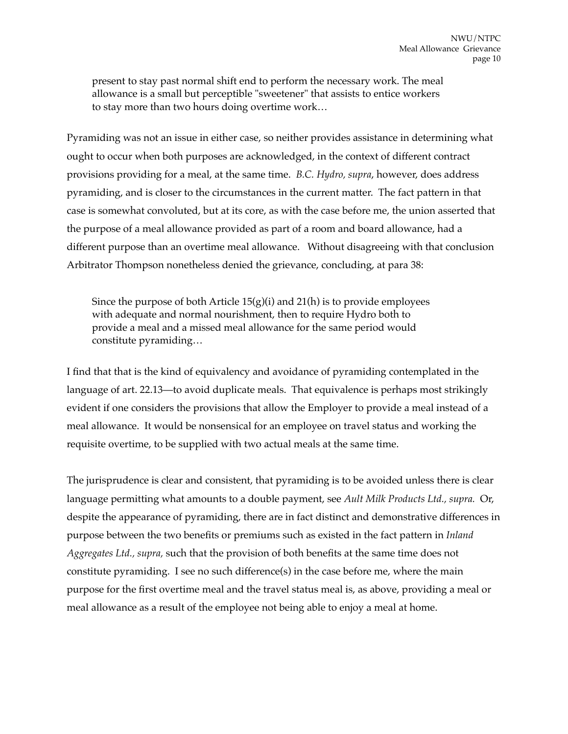present to stay past normal shift end to perform the necessary work. The meal allowance is a small but perceptible "sweetener" that assists to entice workers to stay more than two hours doing overtime work…

Pyramiding was not an issue in either case, so neither provides assistance in determining what ought to occur when both purposes are acknowledged, in the context of different contract provisions providing for a meal, at the same time. *B.C. Hydro, supra*, however, does address pyramiding, and is closer to the circumstances in the current matter. The fact pattern in that case is somewhat convoluted, but at its core, as with the case before me, the union asserted that the purpose of a meal allowance provided as part of a room and board allowance, had a different purpose than an overtime meal allowance. Without disagreeing with that conclusion Arbitrator Thompson nonetheless denied the grievance, concluding, at para 38:

Since the purpose of both Article  $15(g)(i)$  and  $21(h)$  is to provide employees with adequate and normal nourishment, then to require Hydro both to provide a meal and a missed meal allowance for the same period would constitute pyramiding…

I find that that is the kind of equivalency and avoidance of pyramiding contemplated in the language of art. 22.13—to avoid duplicate meals. That equivalence is perhaps most strikingly evident if one considers the provisions that allow the Employer to provide a meal instead of a meal allowance. It would be nonsensical for an employee on travel status and working the requisite overtime, to be supplied with two actual meals at the same time.

The jurisprudence is clear and consistent, that pyramiding is to be avoided unless there is clear language permitting what amounts to a double payment, see *Ault Milk Products Ltd., supra.* Or, despite the appearance of pyramiding, there are in fact distinct and demonstrative differences in purpose between the two benefits or premiums such as existed in the fact pattern in *Inland Aggregates Ltd., supra,* such that the provision of both benefits at the same time does not constitute pyramiding. I see no such difference(s) in the case before me, where the main purpose for the first overtime meal and the travel status meal is, as above, providing a meal or meal allowance as a result of the employee not being able to enjoy a meal at home.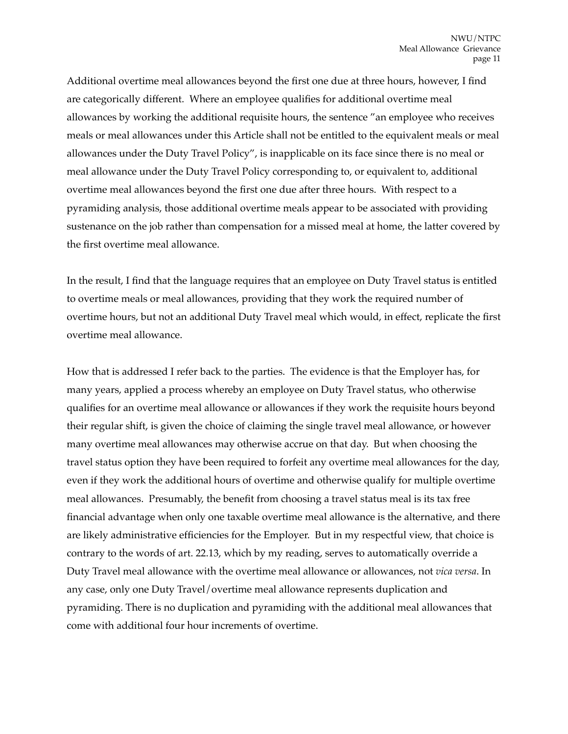Additional overtime meal allowances beyond the first one due at three hours, however, I find are categorically different. Where an employee qualifies for additional overtime meal allowances by working the additional requisite hours, the sentence "an employee who receives meals or meal allowances under this Article shall not be entitled to the equivalent meals or meal allowances under the Duty Travel Policy", is inapplicable on its face since there is no meal or meal allowance under the Duty Travel Policy corresponding to, or equivalent to, additional overtime meal allowances beyond the first one due after three hours. With respect to a pyramiding analysis, those additional overtime meals appear to be associated with providing sustenance on the job rather than compensation for a missed meal at home, the latter covered by the first overtime meal allowance.

In the result, I find that the language requires that an employee on Duty Travel status is entitled to overtime meals or meal allowances, providing that they work the required number of overtime hours, but not an additional Duty Travel meal which would, in effect, replicate the first overtime meal allowance.

How that is addressed I refer back to the parties. The evidence is that the Employer has, for many years, applied a process whereby an employee on Duty Travel status, who otherwise qualifies for an overtime meal allowance or allowances if they work the requisite hours beyond their regular shift, is given the choice of claiming the single travel meal allowance, or however many overtime meal allowances may otherwise accrue on that day. But when choosing the travel status option they have been required to forfeit any overtime meal allowances for the day, even if they work the additional hours of overtime and otherwise qualify for multiple overtime meal allowances. Presumably, the benefit from choosing a travel status meal is its tax free financial advantage when only one taxable overtime meal allowance is the alternative, and there are likely administrative efficiencies for the Employer. But in my respectful view, that choice is contrary to the words of art. 22.13, which by my reading, serves to automatically override a Duty Travel meal allowance with the overtime meal allowance or allowances, not *vica versa*. In any case, only one Duty Travel/overtime meal allowance represents duplication and pyramiding. There is no duplication and pyramiding with the additional meal allowances that come with additional four hour increments of overtime.